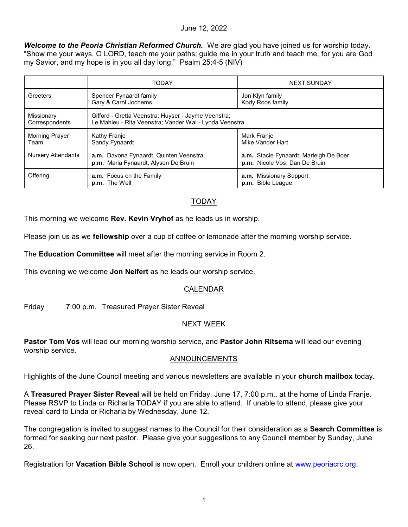### June 12, 2022

*Welcome to the Peoria Christian Reformed Church.* We are glad you have joined us for worship today. "Show me your ways, O LORD, teach me your paths; guide me in your truth and teach me, for you are God my Savior, and my hope is in you all day long." Psalm 25:4-5 (NIV)

|                               | <b>TODAY</b>                                                                                                  | <b>NEXT SUNDAY</b>                                                      |
|-------------------------------|---------------------------------------------------------------------------------------------------------------|-------------------------------------------------------------------------|
| Greeters                      | Spencer Fynaardt family<br>Gary & Carol Jochems                                                               | Jon Klyn family<br>Kody Roos family                                     |
| Missionary<br>Correspondents  | Gifford - Gretta Veenstra; Huyser - Jayme Veenstra;<br>Le Mahieu - Rita Veenstra; Vander Wal - Lynda Veenstra |                                                                         |
| <b>Morning Prayer</b><br>Team | Kathy Franje<br>Sandy Fynaardt                                                                                | Mark Franje<br>Mike Vander Hart                                         |
| <b>Nursery Attendants</b>     | a.m. Davona Fynaardt, Quinten Veenstra<br>p.m. Maria Fynaardt, Alyson De Bruin                                | a.m. Stacie Fynaardt, Marleigh De Boer<br>p.m. Nicole Vos, Dan De Bruin |
| Offering                      | a.m. Focus on the Family<br>p.m. The Well                                                                     | a.m. Missionary Support<br>p.m. Bible League                            |

# TODAY

This morning we welcome **Rev. Kevin Vryhof** as he leads us in worship.

Please join us as we **fellowship** over a cup of coffee or lemonade after the morning worship service.

The **Education Committee** will meet after the morning service in Room 2.

This evening we welcome **Jon Neifert** as he leads our worship service.

# CALENDAR

Friday 7:00 p.m. Treasured Prayer Sister Reveal

# NEXT WEEK

**Pastor Tom Vos** will lead our morning worship service, and **Pastor John Ritsema** will lead our evening worship service.

#### ANNOUNCEMENTS

Highlights of the June Council meeting and various newsletters are available in your **church mailbox** today.

A **Treasured Prayer Sister Reveal** will be held on Friday, June 17, 7:00 p.m., at the home of Linda Franje. Please RSVP to Linda or Richarla TODAY if you are able to attend. If unable to attend, please give your reveal card to Linda or Richarla by Wednesday, June 12.

The congregation is invited to suggest names to the Council for their consideration as a **Search Committee** is formed for seeking our next pastor. Please give your suggestions to any Council member by Sunday, June 26.

Registration for **Vacation Bible School** is now open. Enroll your children online at [www.peoriacrc.org](http://www.peoriacrc.org).